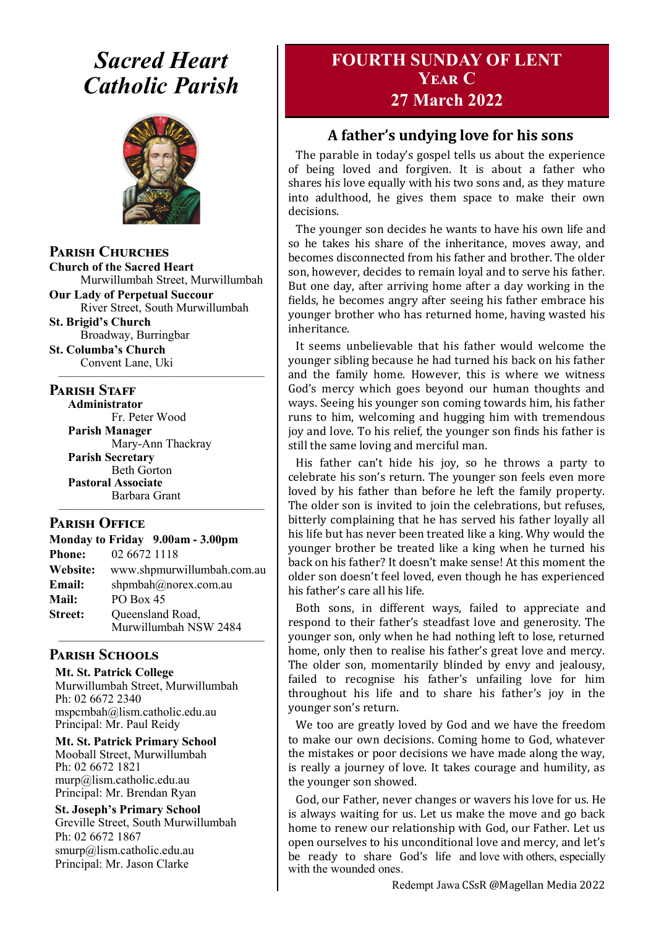## *Sacred Heart Catholic Parish*



**Parish Churches**

**Church of the Sacred Heart** Murwillumbah Street, Murwillumbah

**Our Lady of Perpetual Succour** River Street, South Murwillumbah **St. Brigid's Church**

Broadway, Burringbar **St. Columba's Church**

Convent Lane, Uki —————————————————

#### **PARISH STAFF**

**Administrator** Fr. Peter Wood **Parish Manager** Mary-Ann Thackray **Parish Secretary** Beth Gorton **Pastoral Associate** Barbara Grant

#### **Parish Office**

| Monday to Friday 9.00am - 3.00pm |                            |
|----------------------------------|----------------------------|
| <b>Phone:</b>                    | 02 6672 1118               |
| <b>Website:</b>                  | www.shpmurwillumbah.com.au |
| Email:                           | shpmbah@norex.com.au       |
| <b>Mail:</b>                     | PO Box 45                  |
| <b>Street:</b>                   | Queensland Road,           |
|                                  | Murwillumbah NSW 2484      |

—————————————————

#### ————————————————— **Parish Schools**

**Mt. St. Patrick College** Murwillumbah Street, Murwillumbah Ph: 02 6672 2340 mspcmbah@lism.catholic.edu.au Principal: Mr. Paul Reidy

**Mt. St. Patrick Primary School** Mooball Street, Murwillumbah Ph: 02 6672 1821 murp@lism.catholic.edu.au Principal: Mr. Brendan Ryan

**St. Joseph's Primary School** Greville Street, South Murwillumbah Ph: 02 6672 1867 smurp@lism.catholic.edu.au Principal: Mr. Jason Clarke

## **FOURTH SUNDAY OF LENT Year C 27 March 2022**

## **A father's undying love for his sons**

The parable in today's gospel tells us about the experience of being loved and forgiven. It is about a father who shares his love equally with his two sons and, as they mature into adulthood, he gives them space to make their own decisions.

The younger son decides he wants to have his own life and so he takes his share of the inheritance, moves away, and becomes disconnected from his father and brother. The older son, however, decides to remain loyal and to serve his father. But one day, after arriving home after a day working in the fields, he becomes angry after seeing his father embrace his younger brother who has returned home, having wasted his inheritance.

It seems unbelievable that his father would welcome the younger sibling because he had turned his back on his father and the family home. However, this is where we witness God's mercy which goes beyond our human thoughts and ways. Seeing his younger son coming towards him, his father runs to him, welcoming and hugging him with tremendous joy and love. To his relief, the younger son finds his father is still the same loving and merciful man.

His father can't hide his joy, so he throws a party to celebrate his son's return. The younger son feels even more loved by his father than before he left the family property. The older son is invited to join the celebrations, but refuses, bitterly complaining that he has served his father loyally all his life but has never been treated like a king. Why would the younger brother be treated like a king when he turned his back on his father? It doesn't make sense! At this moment the older son doesn't feel loved, even though he has experienced his father's care all his life.

Both sons, in different ways, failed to appreciate and respond to their father's steadfast love and generosity. The younger son, only when he had nothing left to lose, returned home, only then to realise his father's great love and mercy. The older son, momentarily blinded by envy and jealousy, failed to recognise his father's unfailing love for him throughout his life and to share his father's joy in the younger son's return.

We too are greatly loved by God and we have the freedom to make our own decisions. Coming home to God, whatever the mistakes or poor decisions we have made along the way, is really a journey of love. It takes courage and humility, as the younger son showed.

God, our Father, never changes or wavers his love for us. He is always waiting for us. Let us make the move and go back home to renew our relationship with God, our Father. Let us open ourselves to his unconditional love and mercy, and let's be ready to share God's life and love with others, especially with the wounded ones.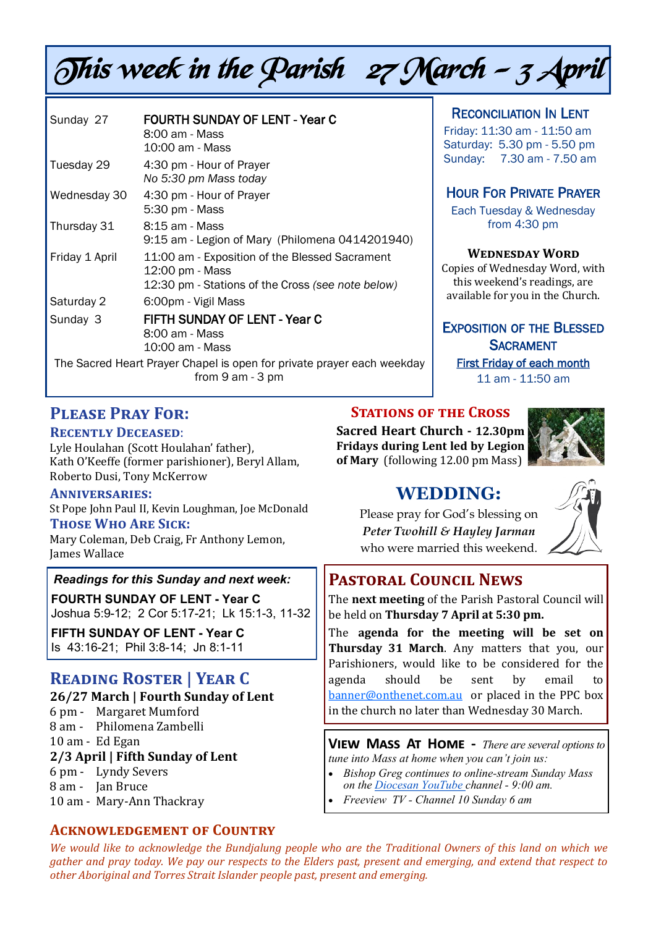# This week in the Parish  $27$  March -  $3$  April

| Sunday 27      | <b>FOURTH SUNDAY OF LENT - Year C</b><br>8:00 am - Mass<br>10:00 am - Mass                                             |
|----------------|------------------------------------------------------------------------------------------------------------------------|
| Tuesday 29     | 4:30 pm - Hour of Prayer<br>No 5:30 pm Mass today                                                                      |
| Wednesday 30   | 4:30 pm - Hour of Prayer<br>5:30 pm - Mass                                                                             |
| Thursday 31    | 8:15 am - Mass<br>9:15 am - Legion of Mary (Philomena 0414201940)                                                      |
| Friday 1 April | 11:00 am - Exposition of the Blessed Sacrament<br>12:00 pm - Mass<br>12:30 pm - Stations of the Cross (see note below) |
| Saturday 2     | 6:00pm - Vigil Mass                                                                                                    |
| Sunday 3       | FIFTH SUNDAY OF LENT - Year C<br>8:00 am - Mass<br>10:00 am - Mass                                                     |
|                | The Sacred Heart Prayer Chapel is open for private prayer each weekday<br>from $9$ am $-3$ pm                          |

#### RECONCILIATION IN LENT

Friday: 11:30 am - 11:50 am Saturday: 5.30 pm - 5.50 pm Sunday: 7.30 am - 7.50 am

#### HOUR FOR PRIVATE PRAYER

Each Tuesday & Wednesday from 4:30 pm

#### **Wednesday Word**

Copies of Wednesday Word, with this weekend's readings, are available for you in the Church.

#### EXPOSITION OF THE BLESSED **SACRAMENT**

First Friday of each month 11 am - 11:50 am

## **Please Pray For:**

#### **Recently Deceased**:

Lyle Houlahan (Scott Houlahan' father), Kath O'Keeffe (former parishioner), Beryl Allam, Roberto Dusi, Tony McKerrow

#### **Anniversaries:**

St Pope John Paul II, Kevin Loughman, Joe McDonald **Those Who Are Sick:** 

Mary Coleman, Deb Craig, Fr Anthony Lemon, James Wallace

#### *Readings for this Sunday and next week:*

**FOURTH SUNDAY OF LENT - Year C** Joshua 5:9-12; 2 Cor 5:17-21; Lk 15:1-3, 11-32

**FIFTH SUNDAY OF LENT - Year C** Is 43:16-21; Phil 3:8-14; Jn 8:1-11

## **Reading Roster | Year C**

#### **26/27 March | Fourth Sunday of Lent**  6 pm - Margaret Mumford

8 am - Philomena Zambelli 10 am - Ed Egan **2/3 April | Fifth Sunday of Lent**  6 pm - Lyndy Severs 8 am - Jan Bruce 10 am - Mary-Ann Thackray

#### **Acknowledgement of Country**

#### **STATIONS OF THE CROSS**

**Sacred Heart Church - 12.30pm Fridays during Lent led by Legion of Mary** (following 12.00 pm Mass)



## **WEDDING:**

Please pray for God's blessing on *Peter Twohill & Hayley Jarman* who were married this weekend.



## **Pastoral Council News**

The **next meeting** of the Parish Pastoral Council will be held on **Thursday 7 April at 5:30 pm.**

The **agenda for the meeting will be set on Thursday 31 March**. Any matters that you, our Parishioners, would like to be considered for the agenda should be sent by email to [banner@onthenet.com.au](mailto:banner@onthenet.com.au) or placed in the PPC box in the church no later than Wednesday 30 March.

**View Mass At Home -** *There are several options to tune into Mass at home when you can't join us:* 

- *Bishop Greg continues to online-stream Sunday Mass on the Diocesan YouTube channel - 9:00 am.*
- *Freeview TV - Channel 10 Sunday 6 am*

*We would like to acknowledge the Bundjalung people who are the Traditional Owners of this land on which we gather and pray today. We pay our respects to the Elders past, present and emerging, and extend that respect to other Aboriginal and Torres Strait Islander people past, present and emerging.*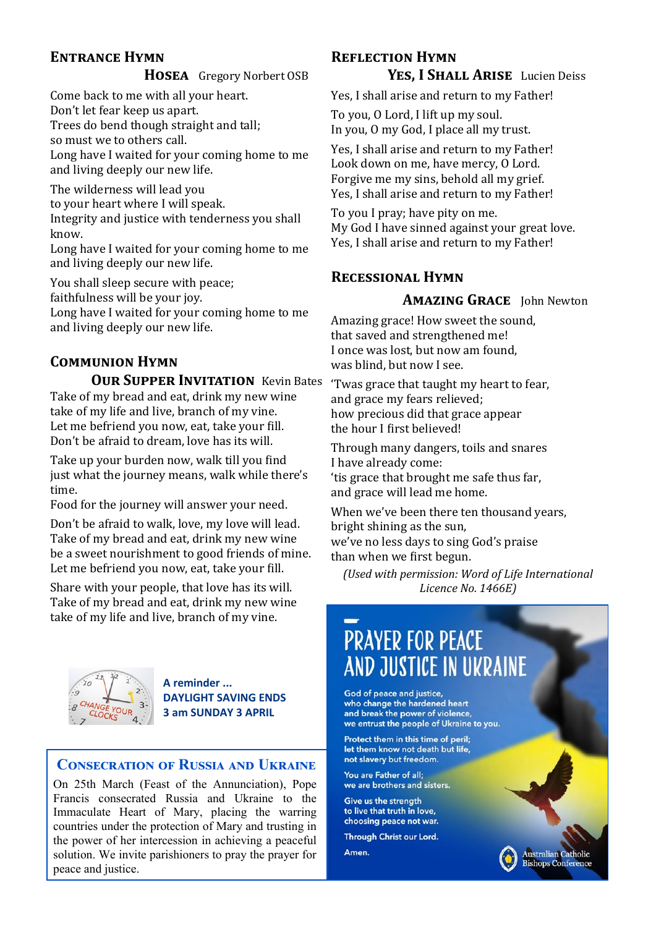## **Entrance Hymn**

#### **Hosea** Gregory Norbert OSB

Come back to me with all your heart. Don't let fear keep us apart. Trees do bend though straight and tall; so must we to others call. Long have I waited for your coming home to me and living deeply our new life.

The wilderness will lead you to your heart where I will speak. Integrity and justice with tenderness you shall know.

Long have I waited for your coming home to me and living deeply our new life.

You shall sleep secure with peace; faithfulness will be your joy. Long have I waited for your coming home to me and living deeply our new life.

## **Communion Hymn**

#### **OUR SUPPER INVITATION** Kevin Bates

Take of my bread and eat, drink my new wine take of my life and live, branch of my vine. Let me befriend you now, eat, take your fill. Don't be afraid to dream, love has its will.

Take up your burden now, walk till you find just what the journey means, walk while there's time.

Food for the journey will answer your need.

Don't be afraid to walk, love, my love will lead. Take of my bread and eat, drink my new wine be a sweet nourishment to good friends of mine. Let me befriend you now, eat, take your fill.

Share with your people, that love has its will. Take of my bread and eat, drink my new wine take of my life and live, branch of my vine.



**A reminder ... DAYLIGHT SAVING ENDS 3 am SUNDAY 3 APRIL**

#### **CONSECRATION OF RUSSIA AND UKRAINE**

On 25th March (Feast of the Annunciation), Pope Francis consecrated Russia and Ukraine to the Immaculate Heart of Mary, placing the warring countries under the protection of Mary and trusting in the power of her intercession in achieving a peaceful solution. We invite parishioners to pray the prayer for peace and justice.

#### **Reflection Hymn Yes, I Shall Arise** Lucien Deiss

Yes, I shall arise and return to my Father!

To you, O Lord, I lift up my soul. In you, O my God, I place all my trust.

Yes, I shall arise and return to my Father! Look down on me, have mercy, O Lord. Forgive me my sins, behold all my grief. Yes, I shall arise and return to my Father!

To you I pray; have pity on me. My God I have sinned against your great love. Yes, I shall arise and return to my Father!

#### **Recessional Hymn**

#### **Amazing Grace** John Newton

Amazing grace! How sweet the sound, that saved and strengthened me! I once was lost, but now am found, was blind, but now I see.

'Twas grace that taught my heart to fear, and grace my fears relieved; how precious did that grace appear the hour I first believed!

Through many dangers, toils and snares I have already come: 'tis grace that brought me safe thus far, and grace will lead me home.

When we've been there ten thousand years, bright shining as the sun, we've no less days to sing God's praise than when we first begun.

*(Used with permission: Word of Life International Licence No. 1466E)*

**Australian Catholic**<br>Bishops Conference

## **PRAYER FOR PEACE AND JUSTICE IN UKRAINE**

God of peace and justice, who change the hardened heart and break the power of violence, we entrust the people of Ukraine to you.

Protect them in this time of peril; let them know not death but life. not slavery but freedom.

You are Father of all; we are brothers and sisters.

Give us the strength to live that truth in love. choosing peace not war.

Through Christ our Lord.

Amen.